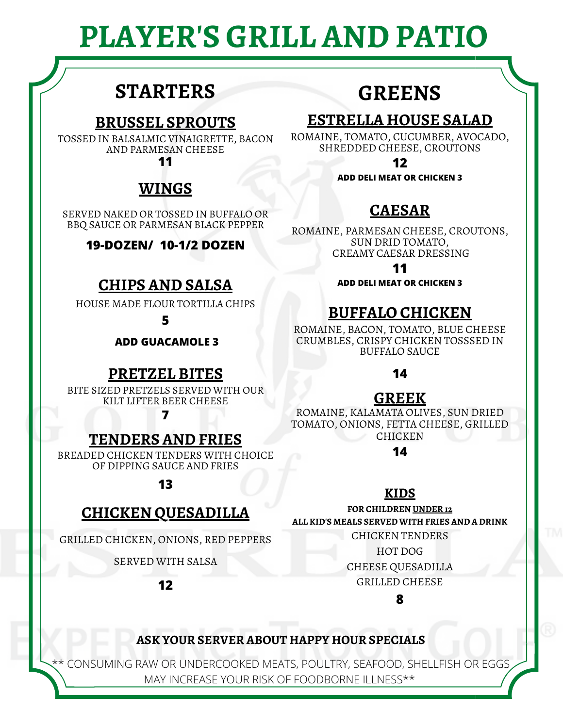# **PLAYER'S GRILL AND PATIO**

# **STARTERS**

#### **BRUSSEL SPROUTS**

TOSSED IN BALSALMIC VINAIGRETTE, BACON AND PARMESAN CHEESE

**11**

# **WINGS**

SERVED NAKED OR TOSSED IN BUFFALO OR BBQ SAUCE OR PARMESAN BLACK PEPPER

#### **19-DOZEN/ 10-1/2 DOZEN**

#### **CHIPS AND SALSA**

HOUSE MADE FLOUR TORTILLA CHIPS

**5**

**ADD GUACAMOLE 3**

#### **PRETZEL BITES**

BITE SIZED PRETZELS SERVED WITH OUR KILT LIFTER BEER CHEESE

**7**

## **TENDERS AND FRIES**

BREADED CHICKEN TENDERS WITH CHOICE OF DIPPING SAUCE AND FRIES

**13**

#### **CHICKEN QUESADILLA**

GRILLED CHICKEN, ONIONS, RED PEPPERS

SERVED WITH SALSA

**12**

# **GREENS**

# **ESTRELLA HOUSE SALAD**

ROMAINE, TOMATO, CUCUMBER, AVOCADO, SHREDDED CHEESE, CROUTONS

> **12 ADD DELI MEAT OR CHICKEN 3**

# **CAESAR**

ROMAINE, PARMESAN CHEESE, CROUTONS, SUN DRID TOMATO, CREAMY CAESAR DRESSING

**11**

**ADD DELI MEAT OR CHICKEN 3**

# **BUFFALO CHICKEN**

ROMAINE, BACON, TOMATO, BLUE CHEESE CRUMBLES, CRISPY CHICKEN TOSSSED IN BUFFALO SAUCE

**14**

# **GREEK**

ROMAINE, KALAMATA OLIVES, SUN DRIED TOMATO, ONIONS, FETTA CHEESE, GRILLED CHICKEN

**14**

#### **KIDS**

**FOR CHILDREN UNDER 12 ALL KID'S MEALS SERVED WITH FRIES AND ADRINK**

CHICKEN TENDERS

HOT DOG

CHEESE QUESADILLA

GRILLED CHEESE

**8**

#### **ASK YOUR SERVER ABOUT HAPPY HOUR SPECIALS**

\*\* CONSUMING RAW OR UNDERCOOKED MEATS, POULTRY, SEAFOOD, SHELLFISH OR EGGS MAY INCREASE YOUR RISK OF FOODBORNE ILLNESS\*\*